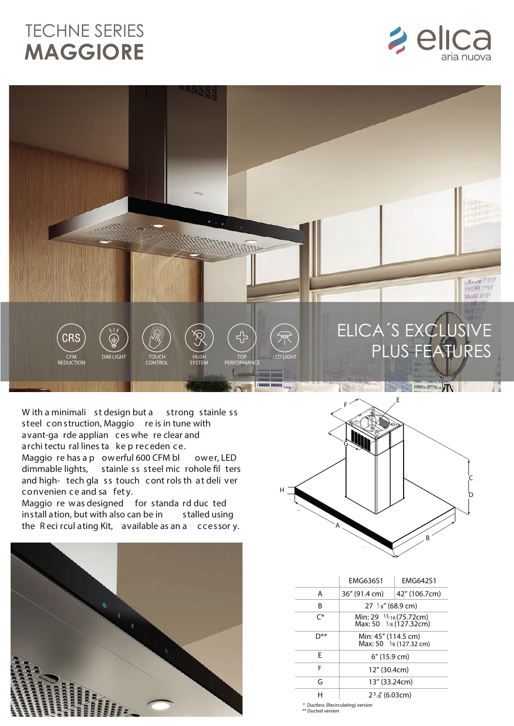## TECHNE SERIES **MAGGIORE**





W ith a minimali st design but a strong stainle ss steel con struction, Maggio re is in tune with avant-ga rde applian ces whe re clear and archi tectu ral lines ta ke p receden ce. Maggio re has a powerful 600 CFM blower, LED dimmable lights, stainle ss steel mic rohole fil ters and high- tech gla ss touch cont rols th at deli ver

convenien ce and sa fet y. Maggio re was designed for standa rd duc ted install ation, but with also can be in stalled using the Reci rcul ating Kit, available as an a ccessor y.





|                | FMG636S1                                                    | <b>FMG642S1</b> |  |
|----------------|-------------------------------------------------------------|-----------------|--|
| А              | 36" (91.4 cm)                                               | 42" (106.7cm)   |  |
| R              | $27 \frac{1}{8}$ (68.9 cm)                                  |                 |  |
| $\mathsf{C}^*$ | Min: 29 13/16 (75.72cm)<br>Max: 50 $\frac{1}{8}$ (127.32cm) |                 |  |
| א*ר            | Min: 45" (114.5 cm)<br>Max: 50 $\frac{1}{8}$ (127.32 cm)    |                 |  |
| F              | $6''$ (15.9 cm)                                             |                 |  |
| F              | 12" (30.4cm)                                                |                 |  |
| G              | 13" (33.24cm)                                               |                 |  |
| н              | $23$ / <sub>8</sub> (6.03cm)                                |                 |  |

\* Ductless (Recirculating) version \*\* Ducted version